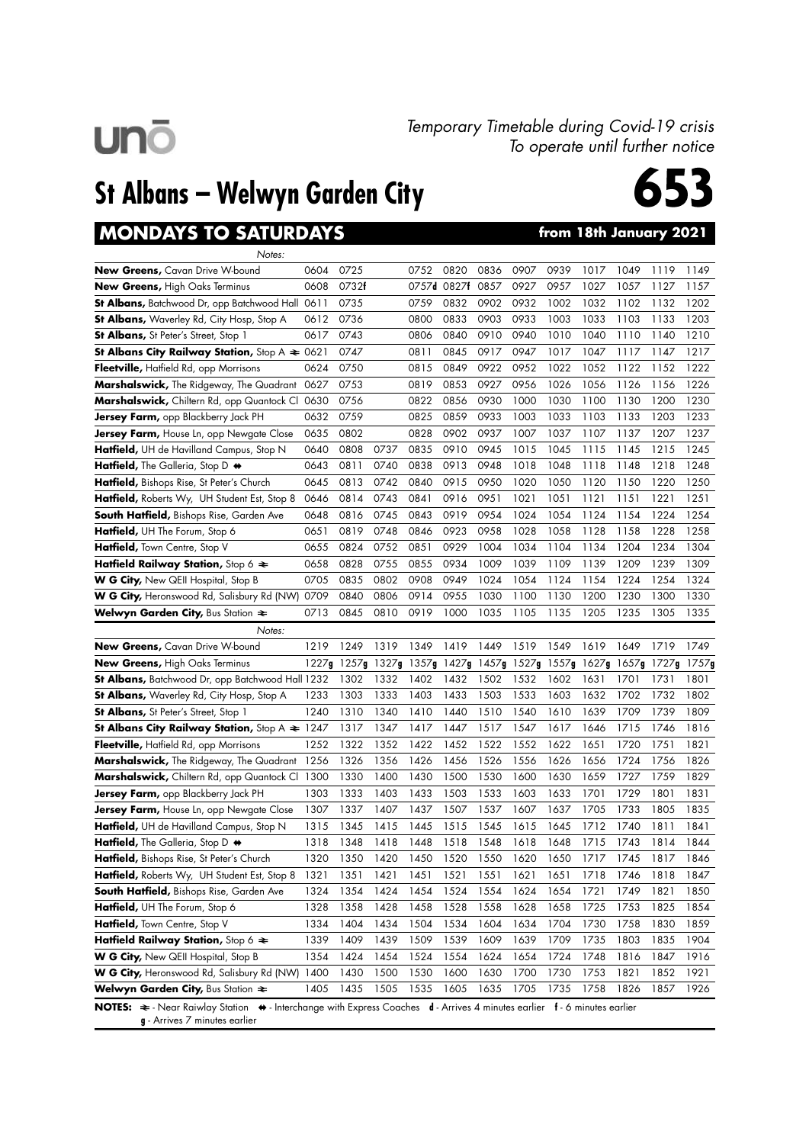

#### Temporary Timetable during Covid-19 crisis To operate until further notice

## St Albans – Welwyn Garden City



### **MONDAYS TO SATURDAYS**

| from 18th January 2021 |  |
|------------------------|--|
|------------------------|--|

| Notes:                                                      |       |       |       |      |                   |      |       |       |       |       |       |               |
|-------------------------------------------------------------|-------|-------|-------|------|-------------------|------|-------|-------|-------|-------|-------|---------------|
| <b>New Greens,</b> Cavan Drive W-bound                      | 0604  | 0725  |       | 0752 | 0820              | 0836 | 0907  | 0939  | 1017  | 1049  | 1119  | 1149          |
| <b>New Greens, High Oaks Terminus</b>                       | 0608  | 0732f |       |      | 0757d 0827f       | 0857 | 0927  | 0957  | 1027  | 1057  | 1127  | 1157          |
| <b>St Albans,</b> Batchwood Dr, opp Batchwood Hall 0611     |       | 0735  |       | 0759 | 0832              | 0902 | 0932  | 1002  | 1032  | 1102  | 1132  | 1202          |
| <b>St Albans,</b> Waverley Rd, City Hosp, Stop A            | 0612  | 0736  |       | 0800 | 0833              | 0903 | 0933  | 1003  | 1033  | 1103  | 1133  | 1203          |
| <b>St Albans,</b> St Peter's Street, Stop 1                 | 0617  | 0743  |       | 0806 | 0840              | 0910 | 0940  | 1010  | 1040  | 1110  | 1140  | 1210          |
| St Albans City Railway Station, Stop $A \approx 0621$       |       | 0747  |       | 0811 | 0845              | 0917 | 0947  | 1017  | 1047  | 1117  | 1147  | 1217          |
| <b>Fleetville,</b> Hatfield Rd, opp Morrisons               | 0624  | 0750  |       | 0815 | 0849              | 0922 | 0952  | 1022  | 1052  | 1122  | 1152  | 1222          |
| <b>Marshalswick,</b> The Ridgeway, The Quadrant             | 0627  | 0753  |       | 0819 | 0853              | 0927 | 0956  | 1026  | 1056  | 1126  | 1156  | 1226          |
| Marshalswick, Chiltern Rd, opp Quantock Cl 0630             |       | 0756  |       | 0822 | 0856              | 0930 | 1000  | 1030  | 1100  | 1130  | 1200  | 1230          |
| Jersey Farm, opp Blackberry Jack PH                         | 0632  | 0759  |       | 0825 | 0859              | 0933 | 1003  | 1033  | 1103  | 1133  | 1203  | 1233          |
| <b>Jersey Farm,</b> House Ln, opp Newgate Close             | 0635  | 0802  |       | 0828 | 0902              | 0937 | 1007  | 1037  | 1107  | 1137  | 1207  | 1237          |
| <b>Hatfield,</b> UH de Havilland Campus, Stop N             | 0640  | 0808  | 0737  | 0835 | 0910              | 0945 | 1015  | 1045  | 1115  | 1145  | 1215  | 1245          |
| <b>Hatfield,</b> The Galleria, Stop D $\leftrightarrow$     | 0643  | 0811  | 0740  | 0838 | 0913              | 0948 | 1018  | 1048  | 1118  | 1148  | 1218  | 1248          |
| Hatfield, Bishops Rise, St Peter's Church                   | 0645  | 0813  | 0742  | 0840 | 0915              | 0950 | 1020  | 1050  | 1120  | 1150  | 1220  | 1250          |
| <b>Hatfield,</b> Roberts Wy, UH Student Est, Stop 8         | 0646  | 0814  | 0743  | 0841 | 0916              | 0951 | 1021  | 1051  | 1121  | 1151  | 1221  | 1251          |
| <b>South Hatfield, Bishops Rise, Garden Ave</b>             | 0648  | 0816  | 0745  | 0843 | 0919              | 0954 | 1024  | 1054  | 1124  | 1154  | 1224  | 1254          |
| <b>Hatfield,</b> UH The Forum, Stop 6                       | 0651  | 0819  | 0748  | 0846 | 0923              | 0958 | 1028  | 1058  | 1128  | 1158  | 1228  | 1258          |
| <b>Hatfield,</b> Town Centre, Stop V                        | 0655  | 0824  | 0752  | 0851 | 0929              | 1004 | 1034  | 1104  | 1134  | 1204  | 1234  | 1304          |
| Hatfield Railway Station, Stop 6 $\approx$                  | 0658  | 0828  | 0755  | 0855 | 0934              | 1009 | 1039  | 1109  | 1139  | 1209  | 1239  | 1309          |
| <b>W G City,</b> New QEII Hospital, Stop B                  | 0705  | 0835  | 0802  | 0908 | 0949              | 1024 | 1054  | 1124  | 1154  | 1224  | 1254  | 1324          |
| <b>W G City,</b> Heronswood Rd, Salisbury Rd (NW)           | 0709  | 0840  | 0806  | 0914 | 0955              | 1030 | 1100  | 1130  | 1200  | 1230  | 1300  | 1330          |
| <b>Welwyn Garden City, Bus Station <math>\approx</math></b> | 0713  | 0845  | 0810  | 0919 | 1000              | 1035 | 1105  | 1135  | 1205  | 1235  | 1305  | 1335          |
| Notes:                                                      |       |       |       |      |                   |      |       |       |       |       |       |               |
|                                                             |       |       |       |      |                   |      |       |       |       |       |       |               |
| <b>New Greens, Cavan Drive W-bound</b>                      | 1219  | 1249  | 1319  | 1349 | 1419              | 1449 | 1519  | 1549  | 1619  | 1649  | 1719  | 1749          |
| New Greens, High Oaks Terminus                              | 1227g | 1257g | 1327g |      | 1357g 1427g 1457g |      | 1527g | 1557g | 1627g | 1657g | 1727g |               |
| St Albans, Batchwood Dr, opp Batchwood Hall 1232            |       | 1302  | 1332  | 1402 | 1432              | 1502 | 1532  | 1602  | 1631  | 1701  | 1731  | 1801          |
| St Albans, Waverley Rd, City Hosp, Stop A                   | 1233  | 1303  | 1333  | 1403 | 1433              | 1503 | 1533  | 1603  | 1632  | 1702  | 1732  | 1802          |
| <b>St Albans, St Peter's Street, Stop 1</b>                 | 1240  | 1310  | 1340  | 1410 | 1440              | 1510 | 1540  | 1610  | 1639  | 1709  | 1739  | 1809          |
| St Albans City Railway Station, Stop A $\approx 1247$       |       | 1317  | 1347  | 1417 | 1447              | 1517 | 1547  | 1617  | 1646  | 1715  | 1746  | 1816          |
| Fleetville, Hatfield Rd, opp Morrisons                      | 1252  | 1322  | 1352  | 1422 | 1452              | 1522 | 1552  | 1622  | 1651  | 1720  | 1751  | 1821          |
| Marshalswick, The Ridgeway, The Quadrant                    | 1256  | 1326  | 1356  | 1426 | 1456              | 1526 | 1556  | 1626  | 1656  | 1724  | 1756  | 1826          |
| Marshalswick, Chiltern Rd, opp Quantock Cl 1300             |       | 1330  | 1400  | 1430 | 1500              | 1530 | 1600  | 1630  | 1659  | 1727  | 1759  | 1829          |
| Jersey Farm, opp Blackberry Jack PH                         | 1303  | 1333  | 1403  | 1433 | 1503              | 1533 | 1603  | 1633  | 1701  | 1729  | 1801  | 1831          |
| Jersey Farm, House Ln, opp Newgate Close                    | 1307  | 1337  | 1407  | 1437 | 1507              | 1537 | 1607  | 1637  | 1705  | 1733  | 1805  | 1835          |
| Hatfield, UH de Havilland Campus, Stop N                    | 1315  | 1345  | 1415  | 1445 | 1515              | 1545 | 1615  | 1645  | 1712  | 1740  | 1811  | 1841          |
| Hatfield, The Galleria, Stop D +                            | 1318  | 1348  | 1418  | 1448 | 1518              | 1548 | 1618  | 1648  | 1715  | 1743  | 1814  | 1844          |
| Hatfield, Bishops Rise, St Peter's Church                   | 1320  | 1350  | 1420  | 1450 | 1520              | 1550 | 1620  | 1650  | 1717  | 1745  | 1817  | 1846          |
| Hatfield, Roberts Wy, UH Student Est, Stop 8                | 1321  | 1351  | 1421  | 1451 | 1521              | 1551 | 1621  | 1651  | 1718  | 1746  | 1818  | 1847          |
| South Hatfield, Bishops Rise, Garden Ave                    | 1324  | 1354  | 1424  | 1454 | 1524              | 1554 | 1624  | 1654  | 1721  | 1749  | 1821  | 1850          |
| Hatfield, UH The Forum, Stop 6                              | 1328  | 1358  | 1428  | 1458 | 1528              | 1558 | 1628  | 1658  | 1725  | 1753  | 1825  | 1854          |
| Hatfield, Town Centre, Stop V                               | 1334  | 1404  | 1434  | 1504 | 1534              | 1604 | 1634  | 1704  | 1730  | 1758  | 1830  | 1859          |
| Hatfield Railway Station, Stop 6 $\approx$                  | 1339  | 1409  | 1439  | 1509 | 1539              | 1609 | 1639  | 1709  | 1735  | 1803  | 1835  | 1904          |
| W G City, New QEII Hospital, Stop B                         | 1354  | 1424  | 1454  | 1524 | 1554              | 1624 | 1654  | 1724  | 1748  | 1816  | 1847  | 1916          |
| <b>W G City, Heronswood Rd, Salisbury Rd (NW)</b>           | 1400  | 1430  | 1500  | 1530 | 1600              | 1630 | 1700  | 1730  | 1753  | 1821  | 1852  | 1921          |
| Welwyn Garden City, Bus Station $\approx$                   | 1405  | 1435  | 1505  | 1535 | 1605              | 1635 | 1705  | 1735  | 1758  | 1826  | 1857  | 1757g<br>1926 |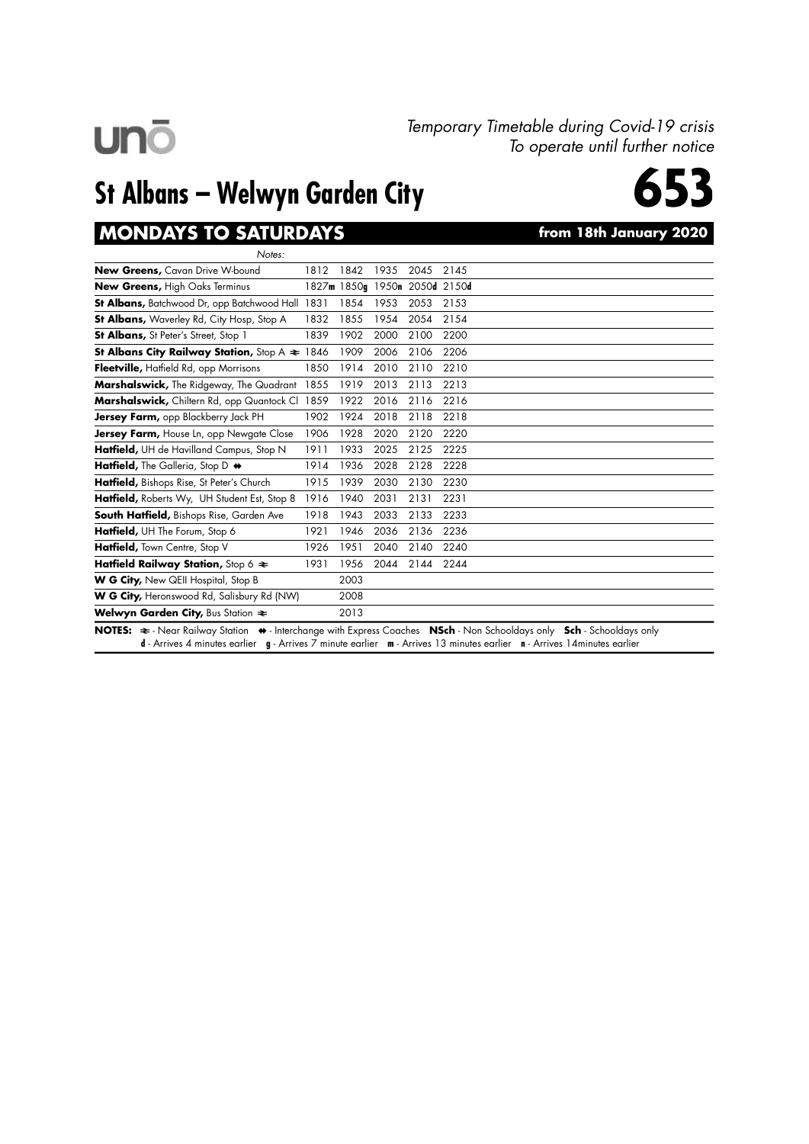#### Temporary Timetable during Covid-19 crisis To operate until further notice

## St Albans – Welwyn Garden City



### MONDAYS TO SATURDAYS **the CONDAYS** from 18th January 2020

| Notes:                                                                                                                                                                                                                                                                                                                                                                                                                                    |      |          |      |                               |                                                                  |
|-------------------------------------------------------------------------------------------------------------------------------------------------------------------------------------------------------------------------------------------------------------------------------------------------------------------------------------------------------------------------------------------------------------------------------------------|------|----------|------|-------------------------------|------------------------------------------------------------------|
| New Greens, Cavan Drive W-bound                                                                                                                                                                                                                                                                                                                                                                                                           | 1812 | 1842     | 1935 | 2045                          | 2145                                                             |
| New Greens, High Oaks Terminus                                                                                                                                                                                                                                                                                                                                                                                                            |      |          |      | 1827m 1850g 1950n 2050d 2150d |                                                                  |
| <b>St Albans, Batchwood Dr, opp Batchwood Hall 1831</b>                                                                                                                                                                                                                                                                                                                                                                                   |      | 1854     | 1953 | 2053                          | 2153                                                             |
| <b>St Albans, Waverley Rd, City Hosp, Stop A</b>                                                                                                                                                                                                                                                                                                                                                                                          | 1832 | 1855     | 1954 | 2054                          | 2154                                                             |
| <b>St Albans, St Peter's Street, Stop 1</b>                                                                                                                                                                                                                                                                                                                                                                                               | 1839 | 1902     | 2000 | 2100                          | 2200                                                             |
| <b>St Albans City Railway Station, Stop A <math>\approx</math> 1846</b>                                                                                                                                                                                                                                                                                                                                                                   |      | 1909     | 2006 | 2106                          | 2206                                                             |
| Fleetville, Hatfield Rd, opp Morrisons                                                                                                                                                                                                                                                                                                                                                                                                    | 1850 | 1914     | 2010 | 2110                          | 2210                                                             |
| Marshalswick, The Ridgeway, The Quadrant                                                                                                                                                                                                                                                                                                                                                                                                  | 1855 | 1919     | 2013 | 2113                          | 2213                                                             |
| Marshalswick, Chiltern Rd, opp Quantock Cl 1859                                                                                                                                                                                                                                                                                                                                                                                           |      | 1922     | 2016 | 2116                          | 2216                                                             |
| Jersey Farm, opp Blackberry Jack PH                                                                                                                                                                                                                                                                                                                                                                                                       | 1902 | 1924     | 2018 | 2118                          | 2218                                                             |
| Jersey Farm, House Ln, opp Newgate Close                                                                                                                                                                                                                                                                                                                                                                                                  | 1906 | 1928     | 2020 | 2120                          | 2220                                                             |
| Hatfield, UH de Havilland Campus, Stop N                                                                                                                                                                                                                                                                                                                                                                                                  | 1911 | 1933     | 2025 | 2125                          | 2225                                                             |
| Hatfield, The Galleria, Stop D +                                                                                                                                                                                                                                                                                                                                                                                                          | 1914 | 1936     | 2028 | 2128                          | 2228                                                             |
| Hatfield, Bishops Rise, St Peter's Church                                                                                                                                                                                                                                                                                                                                                                                                 | 1915 | 1939     | 2030 | 2130                          | 2230                                                             |
| Hatfield, Roberts Wy, UH Student Est, Stop 8                                                                                                                                                                                                                                                                                                                                                                                              | 1916 | 1940     | 2031 | 2131                          | 2231                                                             |
| South Hatfield, Bishops Rise, Garden Ave                                                                                                                                                                                                                                                                                                                                                                                                  | 1918 | 1943     | 2033 | 2133                          | 2233                                                             |
| Hatfield, UH The Forum, Stop 6                                                                                                                                                                                                                                                                                                                                                                                                            | 1921 | 1946     | 2036 | 2136                          | 2236                                                             |
| Hatfield, Town Centre, Stop V                                                                                                                                                                                                                                                                                                                                                                                                             | 1926 | 1951     | 2040 | 2140                          | 2240                                                             |
| Hatfield Railway Station, Stop 6 $\approx$                                                                                                                                                                                                                                                                                                                                                                                                | 1931 | 1956     | 2044 | 2144                          | 2244                                                             |
| W G City, New QEII Hospital, Stop B                                                                                                                                                                                                                                                                                                                                                                                                       |      | 2003     |      |                               |                                                                  |
| W G City, Heronswood Rd, Salisbury Rd (NW)                                                                                                                                                                                                                                                                                                                                                                                                |      | 2008     |      |                               |                                                                  |
| Welwyn Garden City, Bus Station $\approx$                                                                                                                                                                                                                                                                                                                                                                                                 |      | 2013     |      |                               |                                                                  |
| $\mathbf{A} = \mathbf{A} \mathbf{A} + \mathbf{A} \mathbf{A} + \mathbf{A} \mathbf{A} + \mathbf{A} \mathbf{A} + \mathbf{A} \mathbf{A} + \mathbf{A} \mathbf{A} + \mathbf{A} \mathbf{A} + \mathbf{A} \mathbf{A} + \mathbf{A} \mathbf{A} + \mathbf{A} \mathbf{A} + \mathbf{A} \mathbf{A} + \mathbf{A} \mathbf{A} + \mathbf{A} \mathbf{A} + \mathbf{A} \mathbf{A} + \mathbf{A} \mathbf{A} + \mathbf{A} \mathbf{A} + \mathbf{A$<br>$\sim$ $\sim$ |      | $\cdots$ |      |                               | $\mathbf{A}$<br>$\sim$ $\sim$ $\sim$ $\sim$<br>.<br>$\mathbf{L}$ |

NOTES:  $\Rightarrow$  - Near Railway Station  $\leftrightarrow$  - Interchange with Express Coaches NSch - Non Schooldays only Sch - Schooldays only d - Arrives 4 minutes earlier g - Arrives 7 minute earlier m - Arrives 13 minutes earlier n - Arrives 14minutes earlier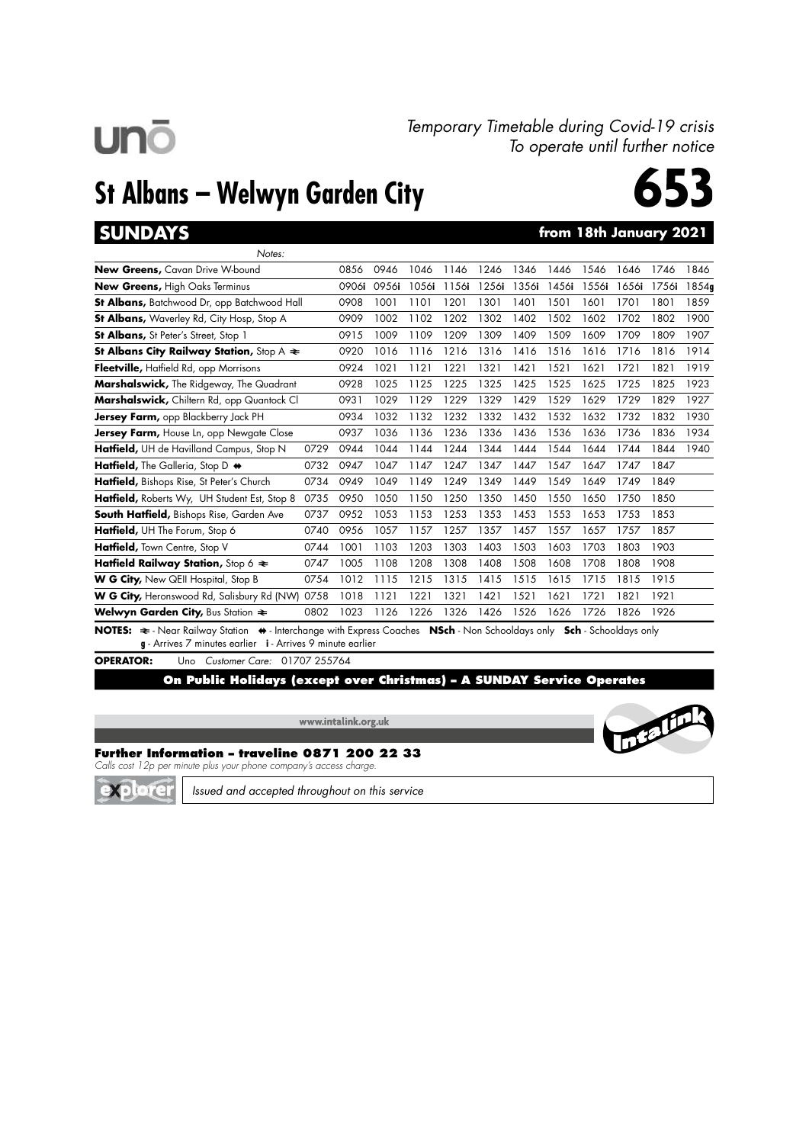# **unō**

#### Temporary Timetable during Covid-19 crisis To operate until further notice

## St Albans – Welwyn Garden City



### SUNDAYS **SUNDAYS from 18th January 2021**

| Notes:                                            |      |        |       |       |       |       |       |       |       |       |       |       |
|---------------------------------------------------|------|--------|-------|-------|-------|-------|-------|-------|-------|-------|-------|-------|
| <b>New Greens, Cavan Drive W-bound</b>            |      | 0856   | 0946  | 1046  | 1146  | 1246  | 1346  | 1446  | 1546  | 1646  | 1746  | 1846  |
| <b>New Greens, High Oaks Terminus</b>             |      | 0906i  | 0956i | 1056i | 1156i | 1256i | 1356i | 1456i | 1556i | 1656i | 1756i | 1854g |
| St Albans, Batchwood Dr, opp Batchwood Hall       |      | 0908   | 1001  | 1101  | 1201  | 1301  | 1401  | 1501  | 1601  | 1701  | 1801  | 1859  |
| <b>St Albans, Waverley Rd, City Hosp, Stop A</b>  |      | 0909   | 1002  | 1102  | 1202  | 1302  | 1402  | 1502  | 1602  | 1702  | 1802  | 1900  |
| <b>St Albans, St Peter's Street, Stop 1</b>       |      | 0915   | 1009  | 1109  | 1209  | 1309  | 1409  | 1509  | 1609  | 1709  | 1809  | 1907  |
| St Albans City Railway Station, Stop A $\approx$  |      | 0920   | 1016  | 1116  | 1216  | 1316  | 1416  | 1516  | 1616  | 1716  | 1816  | 1914  |
| Fleetville, Hatfield Rd, opp Morrisons            |      | 0924   | 1021  | 1121  | 1221  | 1321  | 1421  | 1521  | 1621  | 1721  | 1821  | 1919  |
| <b>Marshalswick,</b> The Ridgeway, The Quadrant   |      | 0928   | 1025  | 1125  | 1225  | 1325  | 1425  | 1525  | 1625  | 1725  | 1825  | 1923  |
| Marshalswick, Chiltern Rd, opp Quantock Cl        |      | 0931   | 1029  | 1129  | 1229  | 1329  | 1429  | 1529  | 1629  | 1729  | 1829  | 1927  |
| <b>Jersey Farm,</b> opp Blackberry Jack PH        |      | 0934   | 1032  | 1132  | 1232  | 1332  | 1432  | 1532  | 1632  | 1732  | 1832  | 1930  |
| <b>Jersey Farm,</b> House Ln, opp Newgate Close   |      | 0937   | 1036  | 1136  | 1236  | 1336  | 1436  | 1536  | 1636  | 1736  | 1836  | 1934  |
| Hatfield, UH de Havilland Campus, Stop N          | 0729 | 0944   | 1044  | 1144  | 1244  | 1344  | 1444  | 1544  | 1644  | 1744  | 1844  | 1940  |
| Hatfield, The Galleria, Stop D $\leftrightarrow$  | 0732 | 0947   | 1047  | 1147  | 1247  | 1347  | 1447  | 1547  | 1647  | 1747  | 1847  |       |
| Hatfield, Bishops Rise, St Peter's Church         | 0734 | 0949   | 1049  | 1149  | 1249  | 1349  | 1449  | 1549  | 1649  | 1749  | 1849  |       |
| Hatfield, Roberts Wy, UH Student Est, Stop 8      | 0735 | 0950   | 1050  | 1150  | 1250  | 1350  | 1450  | 1550  | 1650  | 1750  | 1850  |       |
| <b>South Hatfield, Bishops Rise, Garden Ave</b>   | 0737 | 0952   | 1053  | 1153  | 1253  | 1353  | 1453  | 1553  | 1653  | 1753  | 1853  |       |
| Hatfield, UH The Forum, Stop 6                    | 0740 | 0956   | 1057  | 1157  | 1257  | 1357  | 1457  | 1557  | 1657  | 1757  | 1857  |       |
| Hatfield, Town Centre, Stop V                     | 0744 | 1001   | 1103  | 1203  | 1303  | 1403  | 1503  | 1603  | 1703  | 1803  | 1903  |       |
| Hatfield Railway Station, Stop 6 $\approx$        | 0747 | 1005   | 1108  | 1208  | 1308  | 1408  | 1508  | 1608  | 1708  | 1808  | 1908  |       |
| <b>W G City,</b> New QEII Hospital, Stop B        | 0754 | 1012   | 1115  | 1215  | 1315  | 1415  | 1515  | 1615  | 1715  | 1815  | 1915  |       |
| <b>W G City, Heronswood Rd, Salisbury Rd (NW)</b> | 0758 | 1018   | 1121  | 1221  | 1321  | 1421  | 1521  | 1621  | 1721  | 1821  | 1921  |       |
| Welwyn Garden City, Bus Station $\approx$         | 0802 | 1023   | 1126  | 1226  | 1326  | 1426  | 1526  | 1626  | 1726  | 1826  | 1926  |       |
|                                                   |      | $\sim$ |       |       |       | $-1$  | . .   |       |       |       |       |       |

NOTES:  $\Rightarrow$  - Near Railway Station  $\leftrightarrow$  - Interchange with Express Coaches NSch - Non Schooldays only Sch - Schooldays only g - Arrives 7 minutes earlier i - Arrives 9 minute earlier

#### OPERATOR: Uno Customer Care: 01707 255764

On Public Holidays (except over Christmas) – A SUNDAY Service Operates

www.intalink.org.uk



#### Further Information – traveline 0871 200 22 33

Calls cost 12p per minute plus your phone company's access charge.



Issued and accepted throughout on this service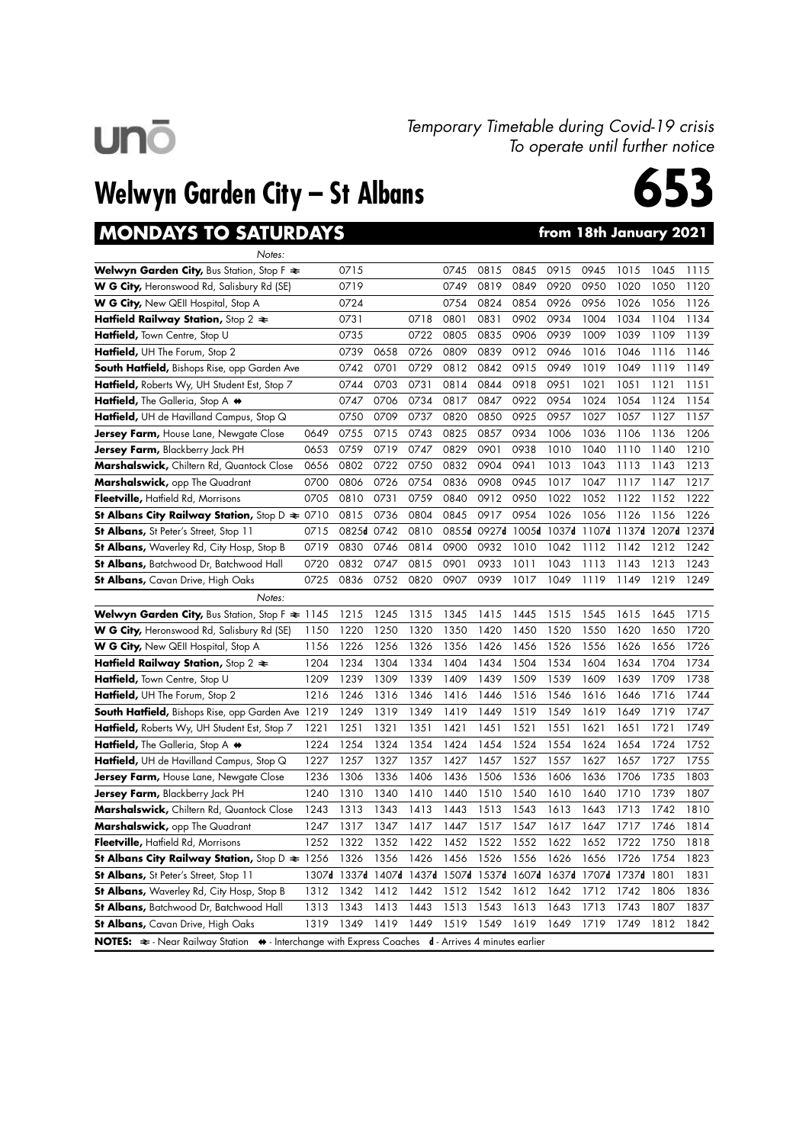

#### Temporary Timetable during Covid-19 crisis To operate until further notice

## Welwyn Garden City – St Albans

## MONDAYS TO SATURDAYS **the CONDAYS** from 18th January 2021



| Notes:                                                                                                                        |       |       |       |      |      |                   |       |       |                   |                   |      |      |
|-------------------------------------------------------------------------------------------------------------------------------|-------|-------|-------|------|------|-------------------|-------|-------|-------------------|-------------------|------|------|
| Welwyn Garden City, Bus Station, Stop F $\Leftarrow$                                                                          |       | 0715  |       |      | 0745 | 0815              | 0845  | 0915  | 0945              | 1015              | 1045 | 1115 |
| W G City, Heronswood Rd, Salisbury Rd (SE)                                                                                    |       | 0719  |       |      | 0749 | 0819              | 0849  | 0920  | 0950              | 1020              | 1050 | 1120 |
| <b>W G City,</b> New QEII Hospital, Stop A                                                                                    |       | 0724  |       |      | 0754 | 0824              | 0854  | 0926  | 0956              | 1026              | 1056 | 1126 |
| Hatfield Railway Station, Stop 2 $\approx$                                                                                    |       | 0731  |       | 0718 | 0801 | 0831              | 0902  | 0934  | 1004              | 1034              | 1104 | 1134 |
| Hatfield, Town Centre, Stop U                                                                                                 |       | 0735  |       | 0722 | 0805 | 0835              | 0906  | 0939  | 1009              | 1039              | 1109 | 1139 |
| <b>Hatfield, UH</b> The Forum, Stop 2                                                                                         |       | 0739  | 0658  | 0726 | 0809 | 0839              | 0912  | 0946  | 1016              | 1046              | 1116 | 1146 |
| <b>South Hatfield, Bishops Rise, opp Garden Ave</b>                                                                           |       | 0742  | 0701  | 0729 | 0812 | 0842              | 0915  | 0949  | 1019              | 1049              | 1119 | 1149 |
| Hatfield, Roberts Wy, UH Student Est, Stop 7                                                                                  |       | 0744  | 0703  | 0731 | 0814 | 0844              | 0918  | 0951  | 1021              | 1051              | 1121 | 1151 |
| Hatfield, The Galleria, Stop A $\leftrightarrow$                                                                              |       | 0747  | 0706  | 0734 | 0817 | 0847              | 0922  | 0954  | 1024              | 1054              | 1124 | 1154 |
| Hatfield, UH de Havilland Campus, Stop Q                                                                                      |       | 0750  | 0709  | 0737 | 0820 | 0850              | 0925  | 0957  | 1027              | 1057              | 1127 | 1157 |
| <b>Jersey Farm,</b> House Lane, Newgate Close                                                                                 | 0649  | 0755  | 0715  | 0743 | 0825 | 0857              | 0934  | 1006  | 1036              | 1106              | 1136 | 1206 |
| <b>Jersey Farm,</b> Blackberry Jack PH                                                                                        | 0653  | 0759  | 0719  | 0747 | 0829 | 0901              | 0938  | 1010  | 1040              | 1110              | 1140 | 1210 |
| Marshalswick, Chiltern Rd, Quantock Close                                                                                     | 0656  | 0802  | 0722  | 0750 | 0832 | 0904              | 0941  | 1013  | 1043              | 1113              | 1143 | 1213 |
| Marshalswick, opp The Quadrant                                                                                                | 0700  | 0806  | 0726  | 0754 | 0836 | 0908              | 0945  | 1017  | 1047              | 1117              | 1147 | 1217 |
| Fleetville, Hatfield Rd, Morrisons                                                                                            | 0705  | 0810  | 0731  | 0759 | 0840 | 0912              | 0950  | 1022  | 1052              | 1122              | 1152 | 1222 |
| <b>St Albans City Railway Station, Stop D <math>\approx 0710</math></b>                                                       |       | 0815  | 0736  | 0804 | 0845 | 0917              | 0954  | 1026  | 1056              | 1126              | 1156 | 1226 |
| <b>St Albans, St Peter's Street, Stop 11</b>                                                                                  | 0715  | 0825d | 0742  | 0810 |      | 0855d 0927d       | 1005d | 1037d | 1107d             | 1137d 1207d 1237d |      |      |
| <b>St Albans,</b> Waverley Rd, City Hosp, Stop B                                                                              | 0719  | 0830  | 0746  | 0814 | 0900 | 0932              | 1010  | 1042  | 1112              | 1142              | 1212 | 1242 |
| St Albans, Batchwood Dr, Batchwood Hall                                                                                       | 0720  | 0832  | 0747  | 0815 | 0901 | 0933              | 1011  | 1043  | 1113              | 1143              | 1213 | 1243 |
| <b>St Albans,</b> Cavan Drive, High Oaks                                                                                      | 0725  | 0836  | 0752  | 0820 | 0907 | 0939              | 1017  | 1049  | 1119              | 1149              | 1219 | 1249 |
| Notes:                                                                                                                        |       |       |       |      |      |                   |       |       |                   |                   |      |      |
| Welwyn Garden City, Bus Station, Stop F $\approx$ 1145                                                                        |       | 1215  | 1245  | 1315 | 1345 | 1415              | 1445  | 1515  | 1545              | 1615              | 1645 | 1715 |
| <b>W G City,</b> Heronswood Rd, Salisbury Rd (SE)                                                                             | 1150  | 1220  | 1250  | 1320 | 1350 | 1420              | 1450  | 1520  | 1550              | 1620              | 1650 | 1720 |
| <b>W G City,</b> New QEII Hospital, Stop A                                                                                    | 1156  | 1226  | 1256  | 1326 | 1356 | 1426              | 1456  | 1526  | 1556              | 1626              | 1656 | 1726 |
| Hatfield Railway Station, Stop 2 $\approx$                                                                                    | 1204  | 1234  | 1304  | 1334 | 1404 | 1434              | 1504  | 1534  | 1604              | 1634              | 1704 | 1734 |
| Hatfield, Town Centre, Stop U                                                                                                 | 1209  | 1239  | 1309  | 1339 | 1409 | 1439              | 1509  | 1539  | 1609              | 1639              | 1709 | 1738 |
| Hatfield, UH The Forum, Stop 2                                                                                                | 1216  | 1246  | 1316  | 1346 | 1416 | 1446              | 1516  | 1546  | 1616              | 1646              | 1716 | 1744 |
| <b>South Hatfield, Bishops Rise, opp Garden Ave 1219</b>                                                                      |       | 1249  | 1319  | 1349 | 1419 | 1449              | 1519  | 1549  | 1619              | 1649              | 1719 | 1747 |
| <b>Hatfield, Roberts Wy, UH Student Est, Stop 7</b>                                                                           | 1221  | 1251  | 1321  | 1351 | 1421 | 1451              | 1521  | 1551  | 1621              | 1651              | 1721 | 1749 |
| Hatfield, The Galleria, Stop A $\leftrightarrow$                                                                              | 1224  | 1254  | 1324  | 1354 | 1424 | 1454              | 1524  | 1554  | 1624              | 1654              | 1724 | 1752 |
| Hatfield, UH de Havilland Campus, Stop Q                                                                                      | 1227  | 1257  | 1327  | 1357 | 1427 | 1457              | 1527  | 1557  | 1627              | 1657              | 1727 | 1755 |
| Jersey Farm, House Lane, Newgate Close                                                                                        | 1236  | 1306  | 1336  | 1406 | 1436 | 1506              | 1536  | 1606  | 1636              | 1706              | 1735 | 1803 |
| <b>Jersey Farm,</b> Blackberry Jack PH                                                                                        | 1240  | 1310  | 1340  | 1410 | 1440 | 1510              | 1540  | 1610  | 1640              | 1710              | 1739 | 1807 |
| Marshalswick, Chiltern Rd, Quantock Close                                                                                     | 1243  | 1313  | 1343  | 1413 | 1443 | 1513              | 1543  | 1613  | 1643              | 1713              | 1742 | 1810 |
| <b>Marshalswick,</b> opp The Quadrant                                                                                         | 1247  | 1317  | 1347  | 1417 | 1447 | 1517              | 1547  | 1617  | 1647              | 1717              | 1746 | 1814 |
| Fleetville, Hatfield Rd, Morrisons                                                                                            | 1252  | 1322  | 1352  | 1422 | 1452 | 1522              | 1552  | 1622  | 1652              | 1722              | 1750 | 1818 |
| St Albans City Railway Station, Stop $D \approx 1256$                                                                         |       | 1326  | 1356  | 1426 | 1456 | 1526              | 1556  | 1626  | 1656              | 1726              | 1754 | 1823 |
| <b>St Albans,</b> St Peter's Street, Stop 11                                                                                  | 1307d | 1337d | 1407d |      |      | 1437d 1507d 1537d | 1607d | 1637d | 1707 <sub>d</sub> | 1737d 1801        |      | 1831 |
| <b>St Albans,</b> Waverley Rd, City Hosp, Stop B                                                                              | 1312  | 1342  | 1412  | 1442 | 1512 | 1542              | 1612  | 1642  | 1712              | 1742              | 1806 | 1836 |
| St Albans, Batchwood Dr, Batchwood Hall                                                                                       | 1313  | 1343  | 1413  | 1443 | 1513 | 1543              | 1613  | 1643  | 1713              | 1743              | 1807 | 1837 |
| <b>St Albans,</b> Cavan Drive, High Oaks                                                                                      | 1319  | 1349  | 1419  | 1449 | 1519 | 1549              | 1619  | 1649  | 1719              | 1749              | 1812 | 1842 |
| NOTES: $\Leftarrow$ - Near Railway Station $\leftrightarrow$ - Interchange with Express Coaches d - Arrives 4 minutes earlier |       |       |       |      |      |                   |       |       |                   |                   |      |      |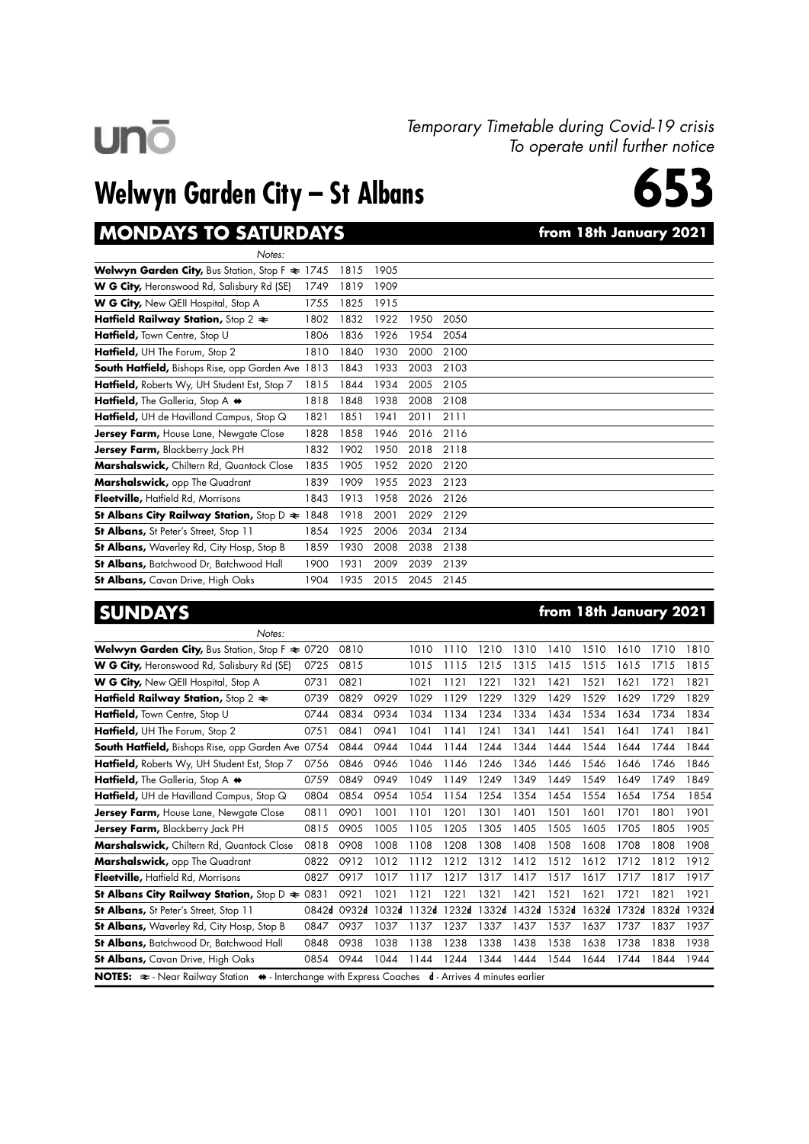## **unō**

#### Temporary Timetable during Covid-19 crisis To operate until further notice

## Welwyn Garden City – St Albans



#### MONDAYS TO SATURDAYS **the CONDAYS** from 18th January 2021

| Notes:                                                                   |      |      |      |      |      |  |
|--------------------------------------------------------------------------|------|------|------|------|------|--|
| <b>Welwyn Garden City, Bus Station, Stop F <math>\approx</math> 1745</b> |      | 1815 | 1905 |      |      |  |
| W G City, Heronswood Rd, Salisbury Rd (SE)                               | 1749 | 1819 | 1909 |      |      |  |
| <b>W G City, New QEII Hospital, Stop A</b>                               | 1755 | 1825 | 1915 |      |      |  |
| Hatfield Railway Station, Stop 2 $\approx$                               | 1802 | 1832 | 1922 | 1950 | 2050 |  |
| <b>Hatfield, Town Centre, Stop U</b>                                     | 1806 | 1836 | 1926 | 1954 | 2054 |  |
| Hatfield, UH The Forum, Stop 2                                           | 1810 | 1840 | 1930 | 2000 | 2100 |  |
| <b>South Hatfield, Bishops Rise, opp Garden Ave 1813</b>                 |      | 1843 | 1933 | 2003 | 2103 |  |
| Hatfield, Roberts Wy, UH Student Est, Stop 7                             | 1815 | 1844 | 1934 | 2005 | 2105 |  |
| Hatfield, The Galleria, Stop A $\leftrightarrow$                         | 1818 | 1848 | 1938 | 2008 | 2108 |  |
| <b>Hatfield,</b> UH de Havilland Campus, Stop $\mathbb Q$                | 1821 | 1851 | 1941 | 2011 | 2111 |  |
| <b>Jersey Farm, House Lane, Newgate Close</b>                            | 1828 | 1858 | 1946 | 2016 | 2116 |  |
| <b>Jersey Farm, Blackberry Jack PH</b>                                   | 1832 | 1902 | 1950 | 2018 | 2118 |  |
| Marshalswick, Chiltern Rd, Quantock Close                                | 1835 | 1905 | 1952 | 2020 | 2120 |  |
| <b>Marshalswick, opp The Quadrant</b>                                    | 1839 | 1909 | 1955 | 2023 | 2123 |  |
| Fleetville, Hatfield Rd, Morrisons                                       | 1843 | 1913 | 1958 | 2026 | 2126 |  |
| St Albans City Railway Station, Stop $D \approx 1848$                    |      | 1918 | 2001 | 2029 | 2129 |  |
| <b>St Albans, St Peter's Street, Stop 11</b>                             | 1854 | 1925 | 2006 | 2034 | 2134 |  |
| <b>St Albans, Waverley Rd, City Hosp, Stop B</b>                         | 1859 | 1930 | 2008 | 2038 | 2138 |  |
| <b>St Albans, Batchwood Dr, Batchwood Hall</b>                           | 1900 | 1931 | 2009 | 2039 | 2139 |  |
| <b>St Albans, Cavan Drive, High Oaks</b>                                 | 1904 | 1935 | 2015 | 2045 | 2145 |  |

SUNDAYS **from 18th January 2021** 

| Notes:                                                                                                                         |       |       |       |       |       |       |       |       |       |       |             |      |
|--------------------------------------------------------------------------------------------------------------------------------|-------|-------|-------|-------|-------|-------|-------|-------|-------|-------|-------------|------|
| <b>Welwyn Garden City, Bus Station, Stop F <math>\approx 0720</math></b>                                                       |       | 0810  |       | 1010  | 1110  | 1210  | 1310  | 1410  | 1510  | 1610  | 1710        | 1810 |
| <b>W G City, Heronswood Rd, Salisbury Rd (SE)</b>                                                                              | 0725  | 0815  |       | 1015  | 1115  | 1215  | 1315  | 1415  | 1515  | 1615  | 1715        | 1815 |
| <b>W G City, New QEII Hospital, Stop A</b>                                                                                     | 0731  | 0821  |       | 1021  | 1121  | 1221  | 1321  | 1421  | 1521  | 1621  | 1721        | 1821 |
| Hatfield Railway Station, Stop 2 $\approx$                                                                                     | 0739  | 0829  | 0929  | 1029  | 1129  | 1229  | 1329  | 1429  | 1529  | 1629  | 1729        | 1829 |
| Hatfield, Town Centre, Stop U                                                                                                  | 0744  | 0834  | 0934  | 1034  | 1134  | 1234  | 1334  | 1434  | 1534  | 1634  | 1734        | 1834 |
| Hatfield, UH The Forum, Stop 2                                                                                                 | 0751  | 0841  | 0941  | 1041  | 1141  | 1241  | 1341  | 1441  | 1541  | 1641  | 1741        | 1841 |
| <b>South Hatfield, Bishops Rise, opp Garden Ave 0754</b>                                                                       |       | 0844  | 0944  | 1044  | 1144  | 1244  | 1344  | 1444  | 1544  | 1644  | 1744        | 1844 |
| Hatfield, Roberts Wy, UH Student Est, Stop 7                                                                                   | 0756  | 0846  | 0946  | 1046  | 1146  | 1246  | 1346  | 1446  | 1546  | 1646  | 1746        | 1846 |
| Hatfield, The Galleria, Stop A $\leftrightarrow$                                                                               | 0759  | 0849  | 0949  | 1049  | 1149  | 1249  | 1349  | 1449  | 1549  | 1649  | 1749        | 1849 |
| Hatfield, UH de Havilland Campus, Stop Q                                                                                       | 0804  | 0854  | 0954  | 1054  | 1154  | 1254  | 1354  | 1454  | 1554  | 1654  | 1754        | 1854 |
| <b>Jersey Farm, House Lane, Newgate Close</b>                                                                                  | 0811  | 0901  | 1001  | 1101  | 1201  | 1301  | 1401  | 1501  | 1601  | 1701  | 1801        | 1901 |
| Jersey Farm, Blackberry Jack PH                                                                                                | 0815  | 0905  | 1005  | 1105  | 1205  | 1305  | 1405  | 1505  | 1605  | 1705  | 1805        | 1905 |
| Marshalswick, Chiltern Rd, Quantock Close                                                                                      | 0818  | 0908  | 1008  | 1108  | 1208  | 1308  | 1408  | 1508  | 1608  | 1708  | 1808        | 1908 |
| Marshalswick, opp The Quadrant                                                                                                 | 0822  | 0912  | 1012  | 1112  | 1212  | 1312  | 1412  | 1512  | 1612  | 1712  | 1812        | 1912 |
| Fleetville, Hatfield Rd, Morrisons                                                                                             | 0827  | 0917  | 1017  | 1117  | 1217  | 1317  | 1417  | 1517  | 1617  | 1717  | 1817        | 1917 |
| St Albans City Railway Station, Stop $D \approx 0831$                                                                          |       | 0921  | 1021  | 1121  | 1221  | 1321  | 1421  | 1521  | 1621  | 1721  | 1821        | 1921 |
| <b>St Albans, St Peter's Street, Stop 11</b>                                                                                   | 0842d | 0932d | 1032d | 1132d | 1232d | 1332d | 1432d | 1532d | 1632d | 1732d | 1832d 1932d |      |
| <b>St Albans, Waverley Rd, City Hosp, Stop B</b>                                                                               | 0847  | 0937  | 1037  | 1137  | 1237  | 1337  | 1437  | 1537  | 1637  | 1737  | 1837        | 1937 |
| <b>St Albans, Batchwood Dr, Batchwood Hall</b>                                                                                 | 0848  | 0938  | 1038  | 1138  | 1238  | 1338  | 1438  | 1538  | 1638  | 1738  | 1838        | 1938 |
| <b>St Albans,</b> Cavan Drive, High Oaks                                                                                       | 0854  | 0944  | 1044  | 1144  | 1244  | 1344  | 1444  | 1544  | 1644  | 1744  | 1844        | 1944 |
| NOTES: $\Rightarrow$ - Near Railway Station $\leftrightarrow$ - Interchange with Express Coaches d - Arrives 4 minutes earlier |       |       |       |       |       |       |       |       |       |       |             |      |